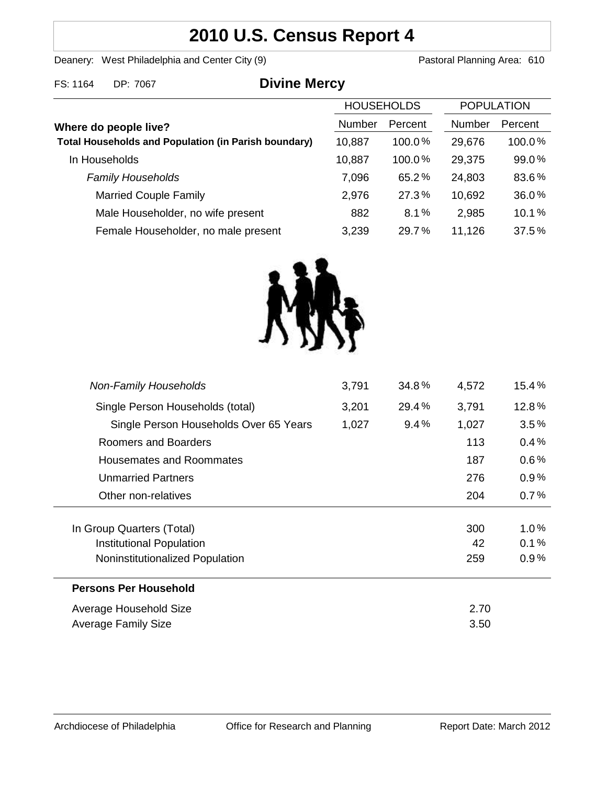# **2010 U.S. Census Report 4**

Deanery: West Philadelphia and Center City (9) Deanery: West Philadelphia and Center City (9)

| FS: 1164<br>DP: 7067 | <b>Divine Mercy</b> |
|----------------------|---------------------|
|----------------------|---------------------|

|                                                             |        | <b>HOUSEHOLDS</b> |        | <b>POPULATION</b> |  |
|-------------------------------------------------------------|--------|-------------------|--------|-------------------|--|
| Where do people live?                                       | Number | Percent           | Number | Percent           |  |
| <b>Total Households and Population (in Parish boundary)</b> | 10,887 | $100.0\%$         | 29,676 | 100.0%            |  |
| In Households                                               | 10,887 | 100.0%            | 29,375 | 99.0%             |  |
| <b>Family Households</b>                                    | 7,096  | 65.2%             | 24,803 | 83.6%             |  |
| <b>Married Couple Family</b>                                | 2,976  | 27.3%             | 10,692 | 36.0%             |  |
| Male Householder, no wife present                           | 882    | 8.1%              | 2,985  | 10.1%             |  |
| Female Householder, no male present                         | 3,239  | 29.7%             | 11,126 | 37.5%             |  |



| <b>Non-Family Households</b>           | 3,791 | 34.8%   | 4,572 | 15.4%   |
|----------------------------------------|-------|---------|-------|---------|
| Single Person Households (total)       | 3,201 | 29.4%   | 3,791 | 12.8%   |
| Single Person Households Over 65 Years | 1,027 | $9.4\%$ | 1,027 | $3.5\%$ |
| Roomers and Boarders                   |       |         | 113   | 0.4%    |
| Housemates and Roommates               |       |         | 187   | $0.6\%$ |
| <b>Unmarried Partners</b>              |       |         | 276   | $0.9\%$ |
| Other non-relatives                    |       |         | 204   | $0.7\%$ |
|                                        |       |         |       |         |
| In Group Quarters (Total)              |       |         | 300   | $1.0\%$ |
| Institutional Population               |       |         | 42    | 0.1%    |
| Noninstitutionalized Population        |       |         | 259   | $0.9\%$ |
| <b>Persons Per Household</b>           |       |         |       |         |
| Average Household Size                 |       |         | 2.70  |         |
| Average Family Size                    |       |         | 3.50  |         |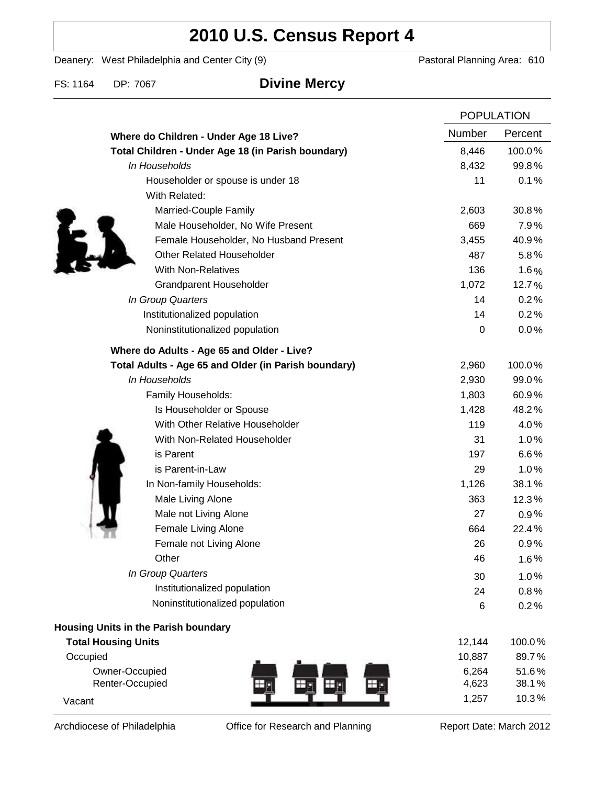# **2010 U.S. Census Report 4**

Deanery: West Philadelphia and Center City (9) Deanery: West Philadelphia and Center City (9)

### FS: 1164 DP: 7067 **Divine Mercy**

|                                                      |           | <b>POPULATION</b> |  |
|------------------------------------------------------|-----------|-------------------|--|
| Where do Children - Under Age 18 Live?               | Number    | Percent           |  |
| Total Children - Under Age 18 (in Parish boundary)   | 8,446     | 100.0%            |  |
| In Households                                        | 8,432     | 99.8%             |  |
| Householder or spouse is under 18                    | 11        | 0.1%              |  |
| With Related:                                        |           |                   |  |
| Married-Couple Family                                | 2,603     | 30.8%             |  |
| Male Householder, No Wife Present                    | 669       | 7.9%              |  |
| Female Householder, No Husband Present               | 3,455     | 40.9%             |  |
| <b>Other Related Householder</b>                     | 487       | 5.8%              |  |
| <b>With Non-Relatives</b>                            | 136       | 1.6%              |  |
| <b>Grandparent Householder</b>                       | 1,072     | 12.7%             |  |
| In Group Quarters                                    | 14        | 0.2%              |  |
| Institutionalized population                         | 14        | 0.2%              |  |
| Noninstitutionalized population                      | $\pmb{0}$ | 0.0%              |  |
| Where do Adults - Age 65 and Older - Live?           |           |                   |  |
| Total Adults - Age 65 and Older (in Parish boundary) | 2,960     | 100.0%            |  |
| In Households                                        | 2,930     | 99.0%             |  |
| Family Households:                                   | 1,803     | 60.9%             |  |
| Is Householder or Spouse                             | 1,428     | 48.2%             |  |
| With Other Relative Householder                      | 119       | 4.0%              |  |
| With Non-Related Householder                         | 31        | 1.0%              |  |
| is Parent                                            | 197       | 6.6%              |  |
| is Parent-in-Law                                     | 29        | 1.0%              |  |
| In Non-family Households:                            | 1,126     | 38.1%             |  |
| Male Living Alone                                    | 363       | 12.3%             |  |
| Male not Living Alone                                | 27        | $0.9\%$           |  |
| Female Living Alone                                  | 664       | 22.4%             |  |
| Female not Living Alone                              | 26        | 0.9%              |  |
| Other                                                | 46        | 1.6%              |  |
| In Group Quarters                                    | 30        | 1.0%              |  |
| Institutionalized population                         | 24        | 0.8%              |  |
| Noninstitutionalized population                      | 6         | 0.2%              |  |
| <b>Housing Units in the Parish boundary</b>          |           |                   |  |
| <b>Total Housing Units</b>                           | 12,144    | 100.0%            |  |
| Occupied                                             | 10,887    | 89.7%             |  |
| Owner-Occupied                                       | 6,264     | 51.6%             |  |
| Renter-Occupied<br>$\mathbf{\bm{\oplus}}$            | 4,623     | 38.1%             |  |
| Vacant                                               | 1,257     | 10.3%             |  |

Archdiocese of Philadelphia **Office for Research and Planning** Report Date: March 2012